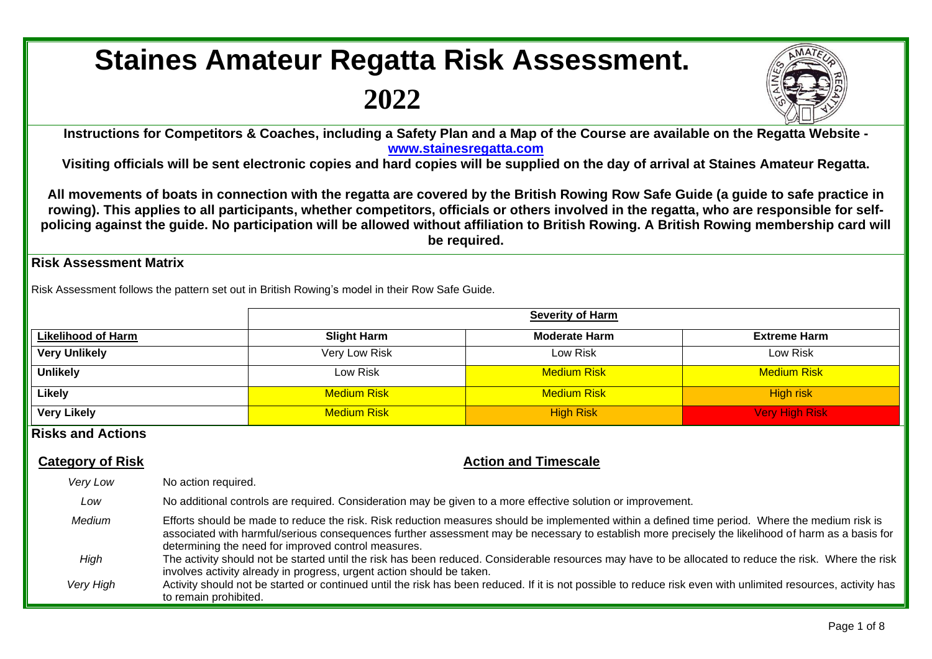# **Staines Amateur Regatta Risk Assessment.**

## **2022**



**Instructions for Competitors & Coaches, including a Safety Plan and a Map of the Course are available on the Regatta Website [www.stainesregatta.com](http://www.stainesregatta.com/)**

**Visiting officials will be sent electronic copies and hard copies will be supplied on the day of arrival at Staines Amateur Regatta.**

**All movements of boats in connection with the regatta are covered by the British Rowing Row Safe Guide (a guide to safe practice in rowing). This applies to all participants, whether competitors, officials or others involved in the regatta, who are responsible for selfpolicing against the guide. No participation will be allowed without affiliation to British Rowing. A British Rowing membership card will be required.**

#### **Risk Assessment Matrix**

Risk Assessment follows the pattern set out in British Rowing's model in their Row Safe Guide.

|                           | <b>Severity of Harm</b> |                      |                       |  |  |  |  |  |
|---------------------------|-------------------------|----------------------|-----------------------|--|--|--|--|--|
| <b>Likelihood of Harm</b> | <b>Slight Harm</b>      | <b>Moderate Harm</b> | <b>Extreme Harm</b>   |  |  |  |  |  |
| <b>Very Unlikely</b>      | Very Low Risk           | Low Risk             | Low Risk              |  |  |  |  |  |
| <b>Unlikely</b>           | Low Risk                | <b>Medium Risk</b>   | <b>Medium Risk</b>    |  |  |  |  |  |
| <b>Likely</b>             | <b>Medium Risk</b>      | <b>Medium Risk</b>   | High risk             |  |  |  |  |  |
| <b>Very Likely</b>        | <b>Medium Risk</b>      | <b>High Risk</b>     | <b>Very High Risk</b> |  |  |  |  |  |

### **Risks and Actions**

### **Category of Risk Category of Risk Action and Timescale**

| Very Low  | No action required.                                                                                                                                                                                                                                                                                                                                          |
|-----------|--------------------------------------------------------------------------------------------------------------------------------------------------------------------------------------------------------------------------------------------------------------------------------------------------------------------------------------------------------------|
| Low       | No additional controls are required. Consideration may be given to a more effective solution or improvement.                                                                                                                                                                                                                                                 |
| Medium    | Efforts should be made to reduce the risk. Risk reduction measures should be implemented within a defined time period. Where the medium risk is<br>associated with harmful/serious consequences further assessment may be necessary to establish more precisely the likelihood of harm as a basis for<br>determining the need for improved control measures. |
| High      | The activity should not be started until the risk has been reduced. Considerable resources may have to be allocated to reduce the risk. Where the risk<br>involves activity already in progress, urgent action should be taken.                                                                                                                              |
| Very High | Activity should not be started or continued until the risk has been reduced. If it is not possible to reduce risk even with unlimited resources, activity has<br>to remain prohibited.                                                                                                                                                                       |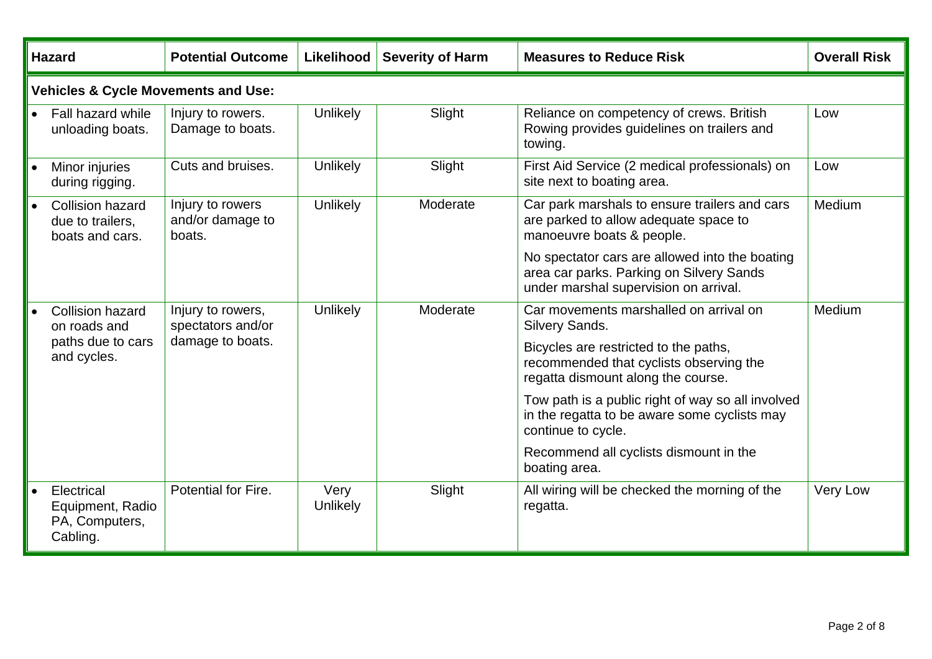| <b>Hazard</b>                                                  | <b>Potential Outcome</b>                       | <b>Likelihood</b> | <b>Severity of Harm</b> | <b>Measures to Reduce Risk</b>                                                                                                      | <b>Overall Risk</b> |  |  |  |
|----------------------------------------------------------------|------------------------------------------------|-------------------|-------------------------|-------------------------------------------------------------------------------------------------------------------------------------|---------------------|--|--|--|
| <b>Vehicles &amp; Cycle Movements and Use:</b>                 |                                                |                   |                         |                                                                                                                                     |                     |  |  |  |
| <b>Fall hazard while</b><br>unloading boats.                   | Injury to rowers.<br>Damage to boats.          | <b>Unlikely</b>   | Slight                  | Reliance on competency of crews. British<br>Rowing provides guidelines on trailers and<br>towing.                                   | Low                 |  |  |  |
| Minor injuries<br>during rigging.                              | Cuts and bruises.                              | <b>Unlikely</b>   | Slight                  | First Aid Service (2 medical professionals) on<br>site next to boating area.                                                        | Low                 |  |  |  |
| <b>Collision hazard</b><br>due to trailers,<br>boats and cars. | Injury to rowers<br>and/or damage to<br>boats. | Unlikely          | Moderate                | Car park marshals to ensure trailers and cars<br>are parked to allow adequate space to<br>manoeuvre boats & people.                 | Medium              |  |  |  |
|                                                                |                                                |                   |                         | No spectator cars are allowed into the boating<br>area car parks. Parking on Silvery Sands<br>under marshal supervision on arrival. |                     |  |  |  |
| <b>Collision hazard</b><br>on roads and                        | Injury to rowers,<br>spectators and/or         | <b>Unlikely</b>   | Moderate                | Car movements marshalled on arrival on<br>Silvery Sands.                                                                            | Medium              |  |  |  |
| paths due to cars<br>and cycles.                               | damage to boats.                               |                   |                         | Bicycles are restricted to the paths,<br>recommended that cyclists observing the<br>regatta dismount along the course.              |                     |  |  |  |
|                                                                |                                                |                   |                         | Tow path is a public right of way so all involved<br>in the regatta to be aware some cyclists may<br>continue to cycle.             |                     |  |  |  |
|                                                                |                                                |                   |                         | Recommend all cyclists dismount in the<br>boating area.                                                                             |                     |  |  |  |
| Electrical<br>Equipment, Radio<br>PA, Computers,<br>Cabling.   | Potential for Fire.                            | Very<br>Unlikely  | Slight                  | All wiring will be checked the morning of the<br>regatta.                                                                           | Very Low            |  |  |  |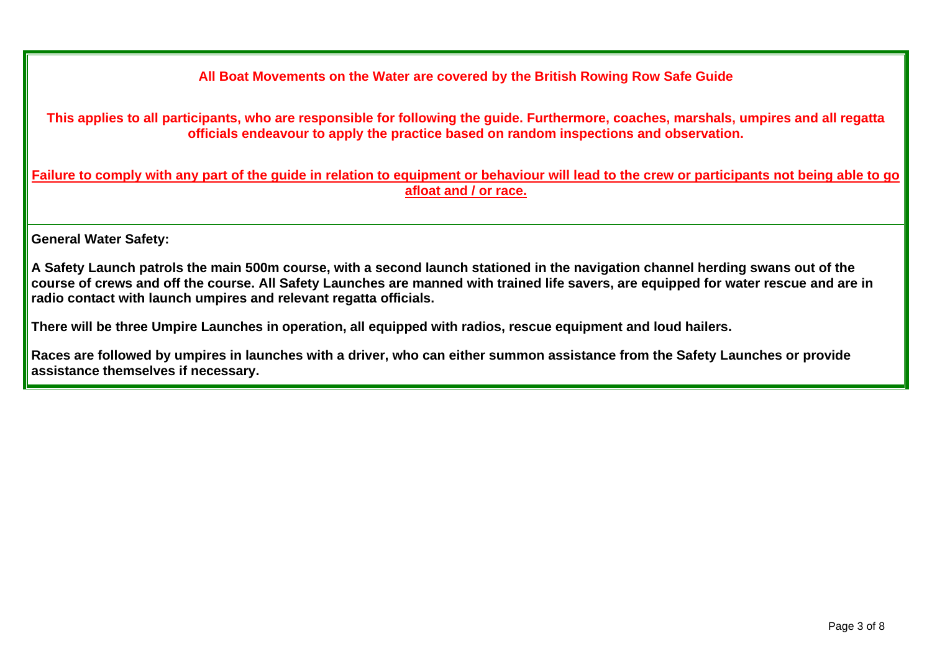**All Boat Movements on the Water are covered by the British Rowing Row Safe Guide**

**This applies to all participants, who are responsible for following the guide. Furthermore, coaches, marshals, umpires and all regatta officials endeavour to apply the practice based on random inspections and observation.**

**Failure to comply with any part of the guide in relation to equipment or behaviour will lead to the crew or participants not being able to go afloat and / or race.**

**General Water Safety:**

**A Safety Launch patrols the main 500m course, with a second launch stationed in the navigation channel herding swans out of the course of crews and off the course. All Safety Launches are manned with trained life savers, are equipped for water rescue and are in radio contact with launch umpires and relevant regatta officials.**

**There will be three Umpire Launches in operation, all equipped with radios, rescue equipment and loud hailers.**

**Races are followed by umpires in launches with a driver, who can either summon assistance from the Safety Launches or provide assistance themselves if necessary.**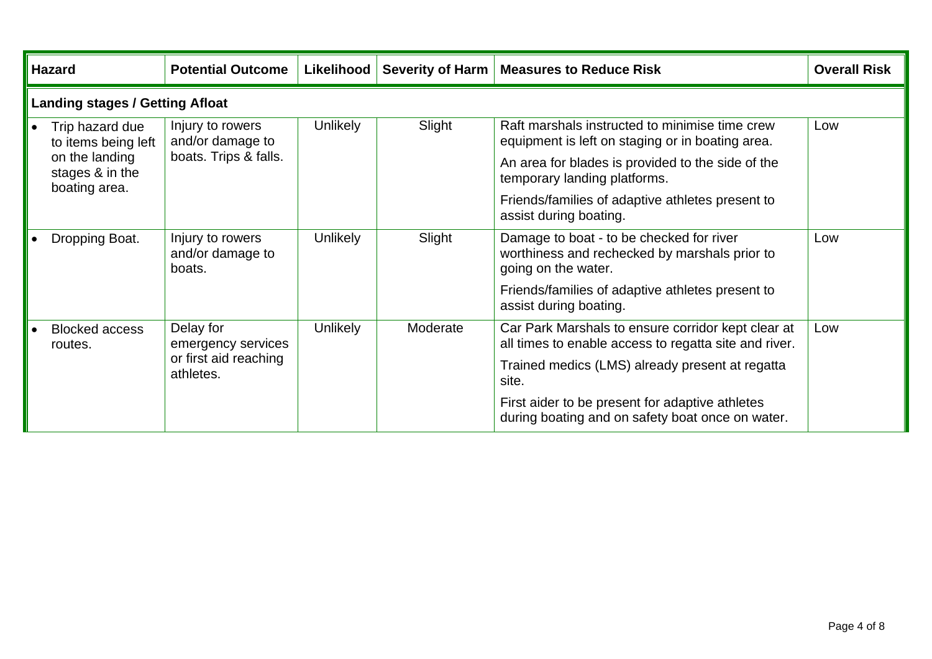| <b>Hazard</b>                                      | <b>Potential Outcome</b>                       | Likelihood      |          | Severity of Harm   Measures to Reduce Risk                                                                       | <b>Overall Risk</b> |  |  |
|----------------------------------------------------|------------------------------------------------|-----------------|----------|------------------------------------------------------------------------------------------------------------------|---------------------|--|--|
| <b>Landing stages / Getting Afloat</b>             |                                                |                 |          |                                                                                                                  |                     |  |  |
| Trip hazard due<br>to items being left             | Injury to rowers<br>and/or damage to           | <b>Unlikely</b> | Slight   | Raft marshals instructed to minimise time crew<br>equipment is left on staging or in boating area.               | Low                 |  |  |
| on the landing<br>stages & in the<br>boating area. | boats. Trips & falls.                          |                 |          | An area for blades is provided to the side of the<br>temporary landing platforms.                                |                     |  |  |
|                                                    |                                                |                 |          | Friends/families of adaptive athletes present to<br>assist during boating.                                       |                     |  |  |
| Dropping Boat.                                     | Injury to rowers<br>and/or damage to<br>boats. | <b>Unlikely</b> | Slight   | Damage to boat - to be checked for river<br>worthiness and rechecked by marshals prior to<br>going on the water. | Low                 |  |  |
|                                                    |                                                |                 |          | Friends/families of adaptive athletes present to<br>assist during boating.                                       |                     |  |  |
| <b>Blocked access</b><br>routes.                   | Delay for<br>emergency services                | <b>Unlikely</b> | Moderate | Car Park Marshals to ensure corridor kept clear at<br>all times to enable access to regatta site and river.      | Low                 |  |  |
|                                                    | or first aid reaching<br>athletes.             |                 |          | Trained medics (LMS) already present at regatta<br>site.                                                         |                     |  |  |
|                                                    |                                                |                 |          | First aider to be present for adaptive athletes<br>during boating and on safety boat once on water.              |                     |  |  |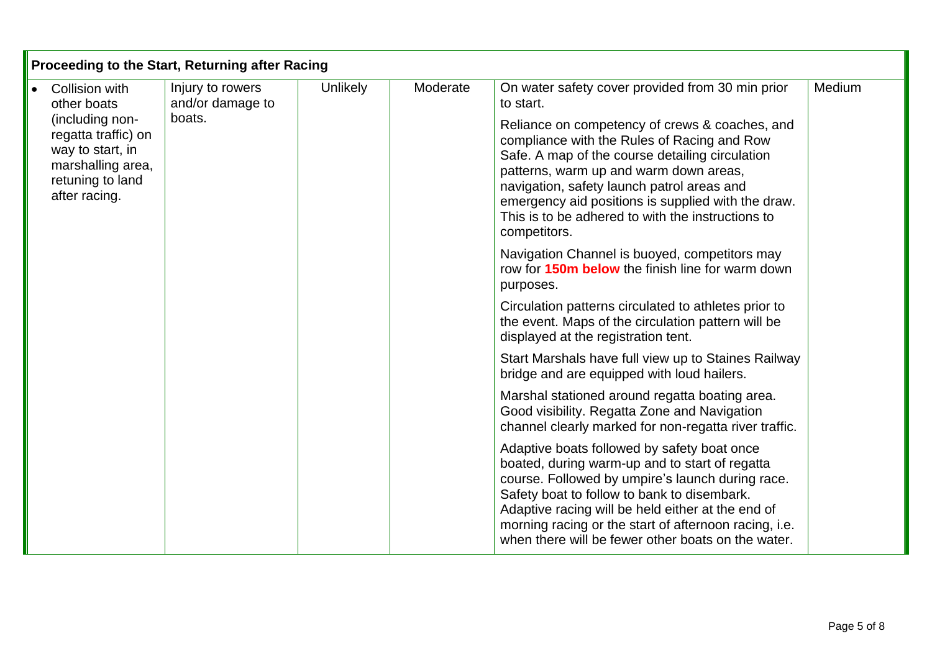| Proceeding to the Start, Returning after Racing                                                                      |                                      |          |          |                                                                                                                                                                                                                                                                                                                                                                      |        |  |  |
|----------------------------------------------------------------------------------------------------------------------|--------------------------------------|----------|----------|----------------------------------------------------------------------------------------------------------------------------------------------------------------------------------------------------------------------------------------------------------------------------------------------------------------------------------------------------------------------|--------|--|--|
| Collision with<br>other boats                                                                                        | Injury to rowers<br>and/or damage to | Unlikely | Moderate | On water safety cover provided from 30 min prior<br>to start.                                                                                                                                                                                                                                                                                                        | Medium |  |  |
| (including non-<br>regatta traffic) on<br>way to start, in<br>marshalling area,<br>retuning to land<br>after racing. | boats.                               |          |          | Reliance on competency of crews & coaches, and<br>compliance with the Rules of Racing and Row<br>Safe. A map of the course detailing circulation<br>patterns, warm up and warm down areas,<br>navigation, safety launch patrol areas and<br>emergency aid positions is supplied with the draw.<br>This is to be adhered to with the instructions to<br>competitors.  |        |  |  |
|                                                                                                                      |                                      |          |          | Navigation Channel is buoyed, competitors may<br>row for <b>150m below</b> the finish line for warm down<br>purposes.                                                                                                                                                                                                                                                |        |  |  |
|                                                                                                                      |                                      |          |          | Circulation patterns circulated to athletes prior to<br>the event. Maps of the circulation pattern will be<br>displayed at the registration tent.                                                                                                                                                                                                                    |        |  |  |
|                                                                                                                      |                                      |          |          | Start Marshals have full view up to Staines Railway<br>bridge and are equipped with loud hailers.                                                                                                                                                                                                                                                                    |        |  |  |
|                                                                                                                      |                                      |          |          | Marshal stationed around regatta boating area.<br>Good visibility. Regatta Zone and Navigation<br>channel clearly marked for non-regatta river traffic.                                                                                                                                                                                                              |        |  |  |
|                                                                                                                      |                                      |          |          | Adaptive boats followed by safety boat once<br>boated, during warm-up and to start of regatta<br>course. Followed by umpire's launch during race.<br>Safety boat to follow to bank to disembark.<br>Adaptive racing will be held either at the end of<br>morning racing or the start of afternoon racing, i.e.<br>when there will be fewer other boats on the water. |        |  |  |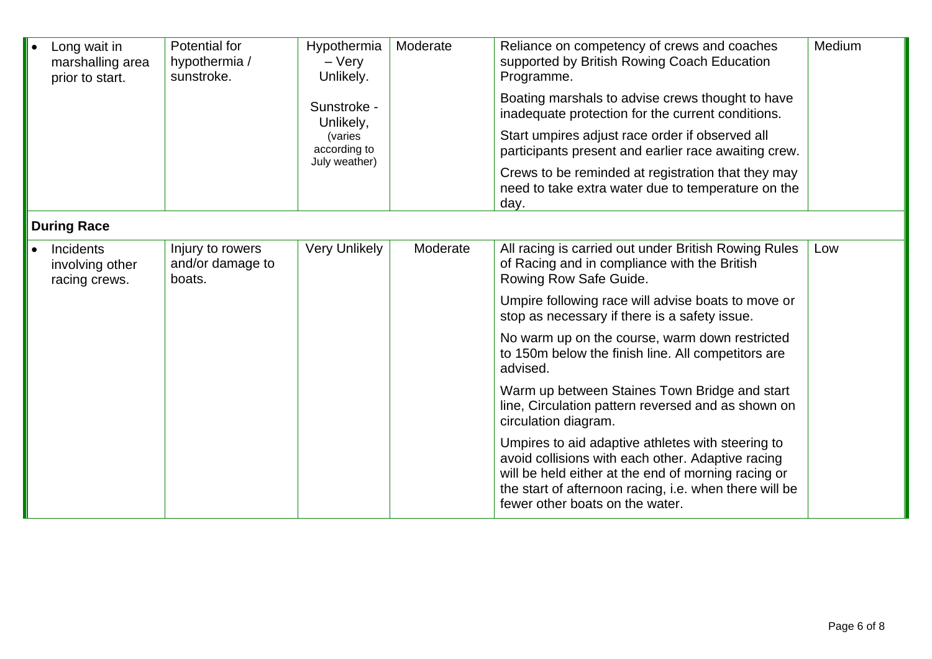| Long wait in<br>marshalling area<br>prior to start. | Potential for<br>hypothermia /<br>sunstroke.   | Hypothermia<br>$-$ Very<br>Unlikely.<br>Sunstroke -<br>Unlikely,<br>(varies<br>according to<br>July weather) | Moderate | Reliance on competency of crews and coaches<br>supported by British Rowing Coach Education<br>Programme.<br>Boating marshals to advise crews thought to have<br>inadequate protection for the current conditions.<br>Start umpires adjust race order if observed all<br>participants present and earlier race awaiting crew.<br>Crews to be reminded at registration that they may<br>need to take extra water due to temperature on the<br>day. | Medium |
|-----------------------------------------------------|------------------------------------------------|--------------------------------------------------------------------------------------------------------------|----------|--------------------------------------------------------------------------------------------------------------------------------------------------------------------------------------------------------------------------------------------------------------------------------------------------------------------------------------------------------------------------------------------------------------------------------------------------|--------|
| <b>During Race</b>                                  |                                                |                                                                                                              |          |                                                                                                                                                                                                                                                                                                                                                                                                                                                  |        |
| Incidents<br>involving other<br>racing crews.       | Injury to rowers<br>and/or damage to<br>boats. | <b>Very Unlikely</b>                                                                                         | Moderate | All racing is carried out under British Rowing Rules<br>of Racing and in compliance with the British<br>Rowing Row Safe Guide.                                                                                                                                                                                                                                                                                                                   | Low    |
|                                                     |                                                |                                                                                                              |          | Umpire following race will advise boats to move or<br>stop as necessary if there is a safety issue.                                                                                                                                                                                                                                                                                                                                              |        |
|                                                     |                                                |                                                                                                              |          | No warm up on the course, warm down restricted<br>to 150m below the finish line. All competitors are<br>advised.                                                                                                                                                                                                                                                                                                                                 |        |
|                                                     |                                                |                                                                                                              |          | Warm up between Staines Town Bridge and start<br>line, Circulation pattern reversed and as shown on<br>circulation diagram.                                                                                                                                                                                                                                                                                                                      |        |
|                                                     |                                                |                                                                                                              |          | Umpires to aid adaptive athletes with steering to<br>avoid collisions with each other. Adaptive racing<br>will be held either at the end of morning racing or<br>the start of afternoon racing, i.e. when there will be<br>fewer other boats on the water.                                                                                                                                                                                       |        |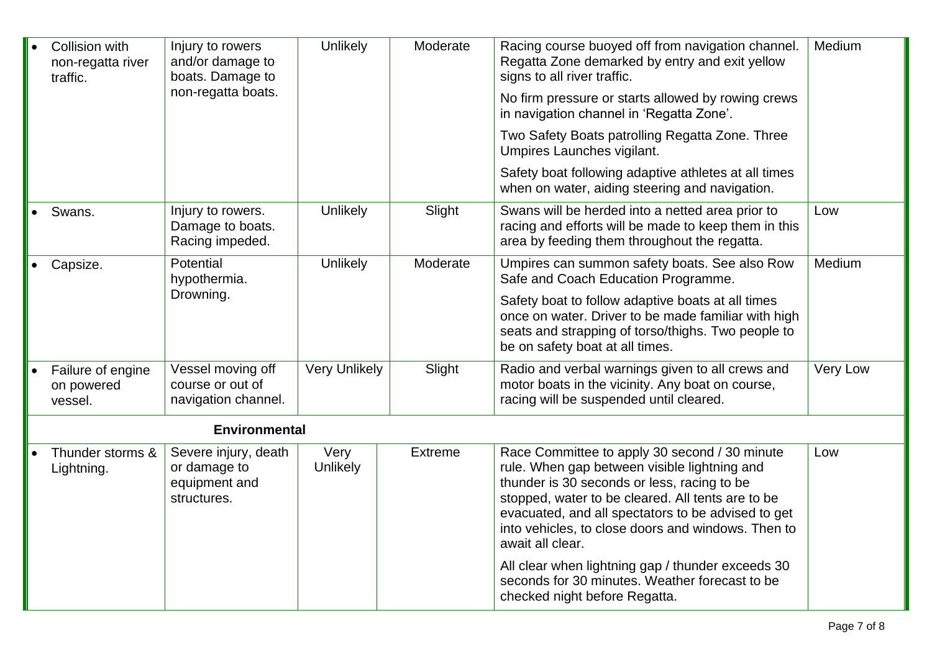| Collision with<br>non-regatta river<br>traffic. | Injury to rowers<br>and/or damage to<br>boats. Damage to<br>non-regatta boats. | Unlikely             | Moderate       | Racing course buoyed off from navigation channel.<br>Regatta Zone demarked by entry and exit yellow<br>signs to all river traffic.<br>No firm pressure or starts allowed by rowing crews<br>in navigation channel in 'Regatta Zone'.                                                                                              | Medium          |
|-------------------------------------------------|--------------------------------------------------------------------------------|----------------------|----------------|-----------------------------------------------------------------------------------------------------------------------------------------------------------------------------------------------------------------------------------------------------------------------------------------------------------------------------------|-----------------|
|                                                 |                                                                                |                      |                | Two Safety Boats patrolling Regatta Zone. Three<br>Umpires Launches vigilant.                                                                                                                                                                                                                                                     |                 |
|                                                 |                                                                                |                      |                | Safety boat following adaptive athletes at all times<br>when on water, aiding steering and navigation.                                                                                                                                                                                                                            |                 |
| Swans.                                          | Injury to rowers.<br>Damage to boats.<br>Racing impeded.                       | Unlikely             | Slight         | Swans will be herded into a netted area prior to<br>racing and efforts will be made to keep them in this<br>area by feeding them throughout the regatta.                                                                                                                                                                          | Low             |
| Capsize.                                        | Potential<br>hypothermia.                                                      | Unlikely             | Moderate       | Umpires can summon safety boats. See also Row<br>Safe and Coach Education Programme.                                                                                                                                                                                                                                              | Medium          |
|                                                 | Drowning.                                                                      |                      |                | Safety boat to follow adaptive boats at all times<br>once on water. Driver to be made familiar with high<br>seats and strapping of torso/thighs. Two people to<br>be on safety boat at all times.                                                                                                                                 |                 |
| Failure of engine<br>on powered<br>vessel.      | Vessel moving off<br>course or out of<br>navigation channel.                   | <b>Very Unlikely</b> | Slight         | Radio and verbal warnings given to all crews and<br>motor boats in the vicinity. Any boat on course,<br>racing will be suspended until cleared.                                                                                                                                                                                   | <b>Very Low</b> |
|                                                 | <b>Environmental</b>                                                           |                      |                |                                                                                                                                                                                                                                                                                                                                   |                 |
| Thunder storms &<br>Lightning.                  | Severe injury, death<br>or damage to<br>equipment and<br>structures.           | Very<br>Unlikely     | <b>Extreme</b> | Race Committee to apply 30 second / 30 minute<br>rule. When gap between visible lightning and<br>thunder is 30 seconds or less, racing to be<br>stopped, water to be cleared. All tents are to be<br>evacuated, and all spectators to be advised to get<br>into vehicles, to close doors and windows. Then to<br>await all clear. | Low             |
|                                                 |                                                                                |                      |                | All clear when lightning gap / thunder exceeds 30<br>seconds for 30 minutes. Weather forecast to be<br>checked night before Regatta.                                                                                                                                                                                              |                 |